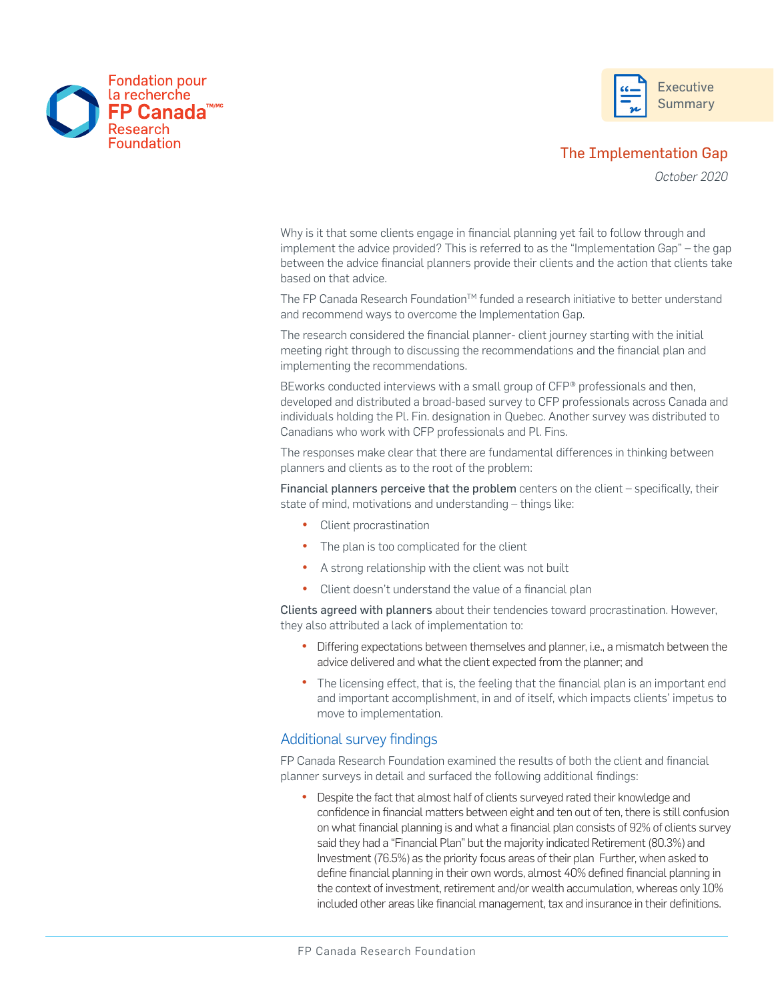



*October 2020*

Why is it that some clients engage in financial planning yet fail to follow through and implement the advice provided? This is referred to as the "Implementation Gap" – the gap between the advice financial planners provide their clients and the action that clients take based on that advice.

The FP Canada Research Foundation™ funded a research initiative to better understand and recommend ways to overcome the Implementation Gap.

The research considered the financial planner- client journey starting with the initial meeting right through to discussing the recommendations and the financial plan and implementing the recommendations.

BEworks conducted interviews with a small group of CFP® professionals and then, developed and distributed a broad-based survey to CFP professionals across Canada and individuals holding the Pl. Fin. designation in Quebec. Another survey was distributed to Canadians who work with CFP professionals and Pl. Fins.

The responses make clear that there are fundamental differences in thinking between planners and clients as to the root of the problem:

Financial planners perceive that the problem centers on the client – specifically, their state of mind, motivations and understanding – things like:

• Client procrastination

**FP Canada** 

Research Foundation

**Fondation pour** la recherche

- The plan is too complicated for the client
- A strong relationship with the client was not built
- Client doesn't understand the value of a financial plan

Clients agreed with planners about their tendencies toward procrastination. However, they also attributed a lack of implementation to:

- Differing expectations between themselves and planner, i.e., a mismatch between the advice delivered and what the client expected from the planner; and
- The licensing effect, that is, the feeling that the financial plan is an important end and important accomplishment, in and of itself, which impacts clients' impetus to move to implementation.

## Additional survey findings

FP Canada Research Foundation examined the results of both the client and financial planner surveys in detail and surfaced the following additional findings:

• Despite the fact that almost half of clients surveyed rated their knowledge and confidence in financial matters between eight and ten out of ten, there is still confusion on what financial planning is and what a financial plan consists of 92% of clients survey said they had a "Financial Plan" but the majority indicated Retirement (80.3%) and Investment (76.5%) as the priority focus areas of their plan Further, when asked to define financial planning in their own words, almost 40% defined financial planning in the context of investment, retirement and/or wealth accumulation, whereas only 10% included other areas like financial management, tax and insurance in their definitions.